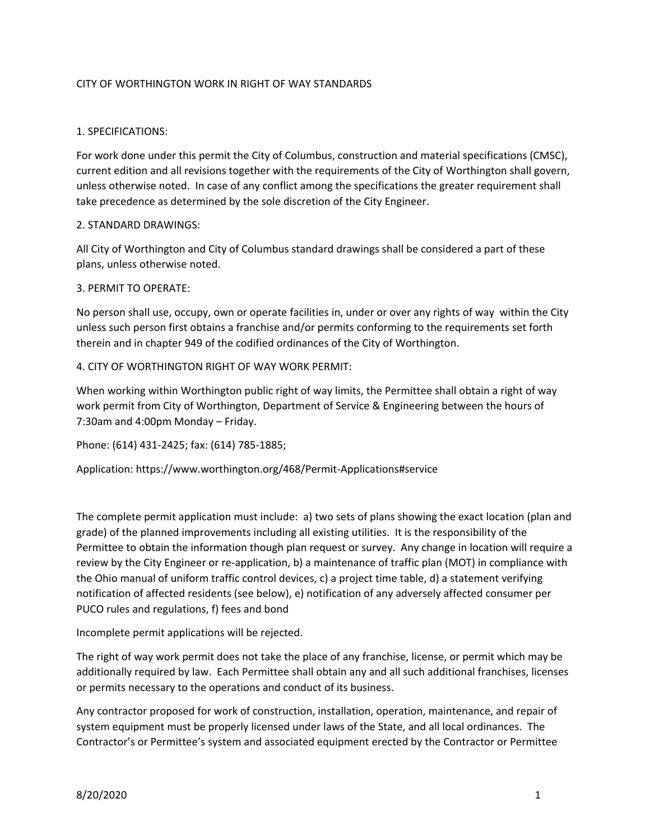### CITY OF WORTHINGTON WORK IN RIGHT OF WAY STANDARDS

#### 1. SPECIFICATIONS:

For work done under this permit the City of Columbus, construction and material specifications (CMSC), current edition and all revisions together with the requirements of the City of Worthington shall govern, unless otherwise noted. In case of any conflict among the specifications the greater requirement shall take precedence as determined by the sole discretion of the City Engineer.

#### 2. STANDARD DRAWINGS:

All City of Worthington and City of Columbus standard drawings shall be considered a part of these plans, unless otherwise noted.

#### 3. PERMIT TO OPERATE:

No person shall use, occupy, own or operate facilities in, under or over any rights of way within the City unless such person first obtains a franchise and/or permits conforming to the requirements set forth therein and in chapter 949 of the codified ordinances of the City of Worthington.

#### 4. CITY OF WORTHINGTON RIGHT OF WAY WORK PERMIT:

When working within Worthington public right of way limits, the Permittee shall obtain a right of way work permit from City of Worthington, Department of Service & Engineering between the hours of 7:30am and 4:00pm Monday – Friday.

Phone: (614) 431-2425; fax: (614) 785-1885;

Application: https://www.worthington.org/468/Permit-Applications#service

The complete permit application must include: a) two sets of plans showing the exact location (plan and grade) of the planned improvements including all existing utilities. It is the responsibility of the Permittee to obtain the information though plan request or survey. Any change in location will require a review by the City Engineer or re-application, b) a maintenance of traffic plan (MOT) in compliance with the Ohio manual of uniform traffic control devices, c) a project time table, d) a statement verifying notification of affected residents (see below), e) notification of any adversely affected consumer per PUCO rules and regulations, f) fees and bond

Incomplete permit applications will be rejected.

The right of way work permit does not take the place of any franchise, license, or permit which may be additionally required by law. Each Permittee shall obtain any and all such additional franchises, licenses or permits necessary to the operations and conduct of its business.

Any contractor proposed for work of construction, installation, operation, maintenance, and repair of system equipment must be properly licensed under laws of the State, and all local ordinances. The Contractor's or Permittee's system and associated equipment erected by the Contractor or Permittee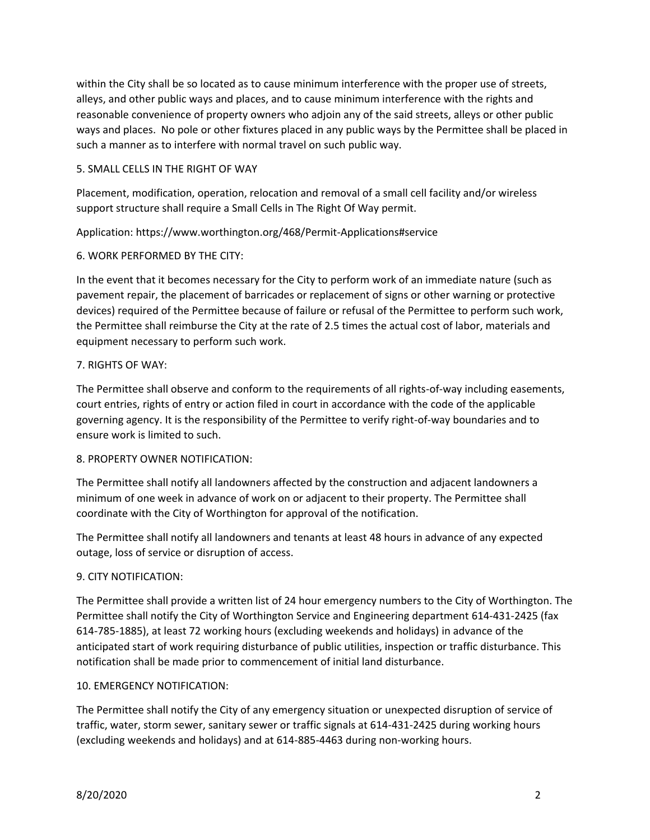within the City shall be so located as to cause minimum interference with the proper use of streets, alleys, and other public ways and places, and to cause minimum interference with the rights and reasonable convenience of property owners who adjoin any of the said streets, alleys or other public ways and places. No pole or other fixtures placed in any public ways by the Permittee shall be placed in such a manner as to interfere with normal travel on such public way.

### 5. SMALL CELLS IN THE RIGHT OF WAY

Placement, modification, operation, relocation and removal of a small cell facility and/or wireless support structure shall require a Small Cells in The Right Of Way permit.

Application: https://www.worthington.org/468/Permit-Applications#service

## 6. WORK PERFORMED BY THE CITY:

In the event that it becomes necessary for the City to perform work of an immediate nature (such as pavement repair, the placement of barricades or replacement of signs or other warning or protective devices) required of the Permittee because of failure or refusal of the Permittee to perform such work, the Permittee shall reimburse the City at the rate of 2.5 times the actual cost of labor, materials and equipment necessary to perform such work.

## 7. RIGHTS OF WAY:

The Permittee shall observe and conform to the requirements of all rights-of-way including easements, court entries, rights of entry or action filed in court in accordance with the code of the applicable governing agency. It is the responsibility of the Permittee to verify right-of-way boundaries and to ensure work is limited to such.

### 8. PROPERTY OWNER NOTIFICATION:

The Permittee shall notify all landowners affected by the construction and adjacent landowners a minimum of one week in advance of work on or adjacent to their property. The Permittee shall coordinate with the City of Worthington for approval of the notification.

The Permittee shall notify all landowners and tenants at least 48 hours in advance of any expected outage, loss of service or disruption of access.

### 9. CITY NOTIFICATION:

The Permittee shall provide a written list of 24 hour emergency numbers to the City of Worthington. The Permittee shall notify the City of Worthington Service and Engineering department 614-431-2425 (fax 614-785-1885), at least 72 working hours (excluding weekends and holidays) in advance of the anticipated start of work requiring disturbance of public utilities, inspection or traffic disturbance. This notification shall be made prior to commencement of initial land disturbance.

### 10. EMERGENCY NOTIFICATION:

The Permittee shall notify the City of any emergency situation or unexpected disruption of service of traffic, water, storm sewer, sanitary sewer or traffic signals at 614-431-2425 during working hours (excluding weekends and holidays) and at 614-885-4463 during non-working hours.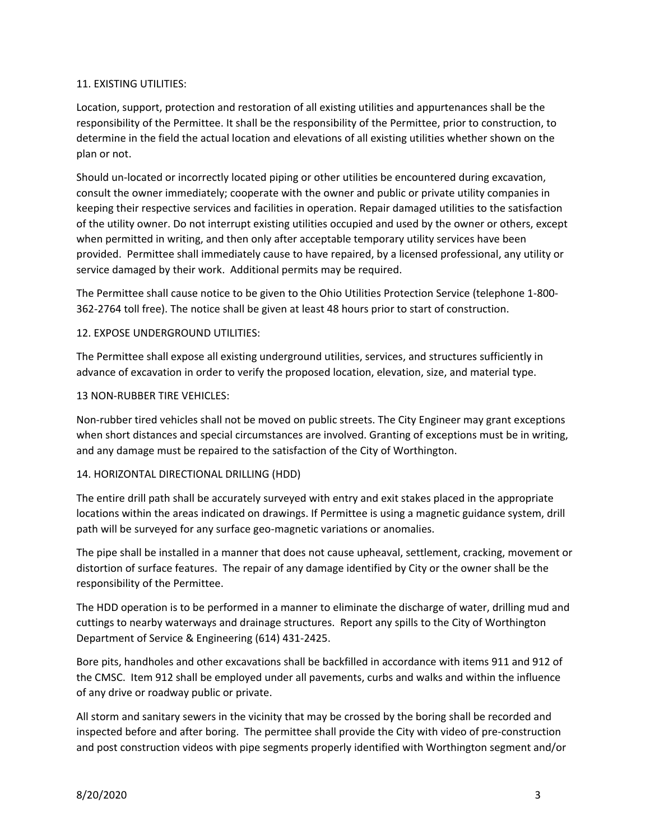#### 11. EXISTING UTILITIES:

Location, support, protection and restoration of all existing utilities and appurtenances shall be the responsibility of the Permittee. It shall be the responsibility of the Permittee, prior to construction, to determine in the field the actual location and elevations of all existing utilities whether shown on the plan or not.

Should un-located or incorrectly located piping or other utilities be encountered during excavation, consult the owner immediately; cooperate with the owner and public or private utility companies in keeping their respective services and facilities in operation. Repair damaged utilities to the satisfaction of the utility owner. Do not interrupt existing utilities occupied and used by the owner or others, except when permitted in writing, and then only after acceptable temporary utility services have been provided. Permittee shall immediately cause to have repaired, by a licensed professional, any utility or service damaged by their work. Additional permits may be required.

The Permittee shall cause notice to be given to the Ohio Utilities Protection Service (telephone 1-800- 362-2764 toll free). The notice shall be given at least 48 hours prior to start of construction.

#### 12. EXPOSE UNDERGROUND UTILITIES:

The Permittee shall expose all existing underground utilities, services, and structures sufficiently in advance of excavation in order to verify the proposed location, elevation, size, and material type.

#### 13 NON-RUBBER TIRE VEHICLES:

Non-rubber tired vehicles shall not be moved on public streets. The City Engineer may grant exceptions when short distances and special circumstances are involved. Granting of exceptions must be in writing, and any damage must be repaired to the satisfaction of the City of Worthington.

### 14. HORIZONTAL DIRECTIONAL DRILLING (HDD)

The entire drill path shall be accurately surveyed with entry and exit stakes placed in the appropriate locations within the areas indicated on drawings. If Permittee is using a magnetic guidance system, drill path will be surveyed for any surface geo-magnetic variations or anomalies.

The pipe shall be installed in a manner that does not cause upheaval, settlement, cracking, movement or distortion of surface features. The repair of any damage identified by City or the owner shall be the responsibility of the Permittee.

The HDD operation is to be performed in a manner to eliminate the discharge of water, drilling mud and cuttings to nearby waterways and drainage structures. Report any spills to the City of Worthington Department of Service & Engineering (614) 431-2425.

Bore pits, handholes and other excavations shall be backfilled in accordance with items 911 and 912 of the CMSC. Item 912 shall be employed under all pavements, curbs and walks and within the influence of any drive or roadway public or private.

All storm and sanitary sewers in the vicinity that may be crossed by the boring shall be recorded and inspected before and after boring. The permittee shall provide the City with video of pre-construction and post construction videos with pipe segments properly identified with Worthington segment and/or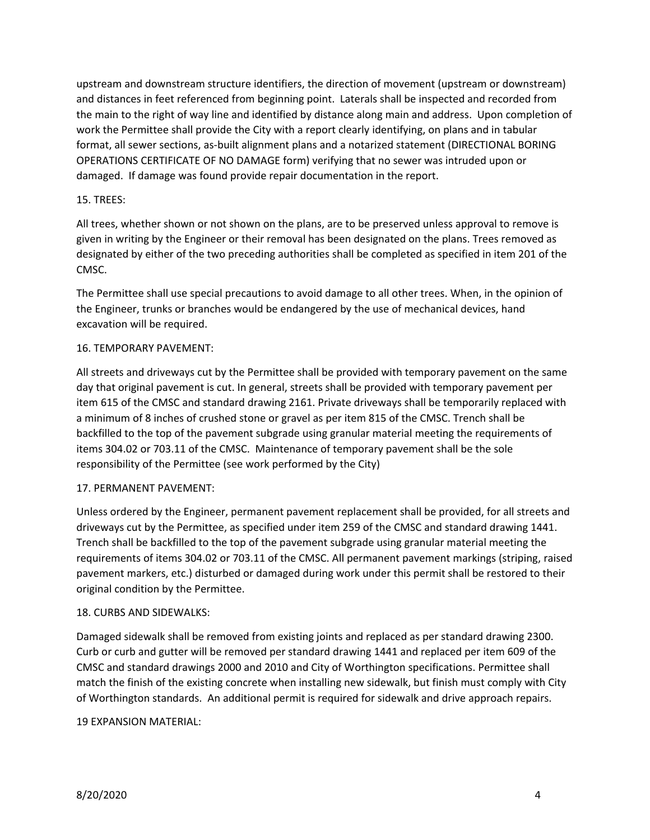upstream and downstream structure identifiers, the direction of movement (upstream or downstream) and distances in feet referenced from beginning point. Laterals shall be inspected and recorded from the main to the right of way line and identified by distance along main and address. Upon completion of work the Permittee shall provide the City with a report clearly identifying, on plans and in tabular format, all sewer sections, as-built alignment plans and a notarized statement (DIRECTIONAL BORING OPERATIONS CERTIFICATE OF NO DAMAGE form) verifying that no sewer was intruded upon or damaged. If damage was found provide repair documentation in the report.

### 15. TREES:

All trees, whether shown or not shown on the plans, are to be preserved unless approval to remove is given in writing by the Engineer or their removal has been designated on the plans. Trees removed as designated by either of the two preceding authorities shall be completed as specified in item 201 of the CMSC.

The Permittee shall use special precautions to avoid damage to all other trees. When, in the opinion of the Engineer, trunks or branches would be endangered by the use of mechanical devices, hand excavation will be required.

## 16. TEMPORARY PAVEMENT:

All streets and driveways cut by the Permittee shall be provided with temporary pavement on the same day that original pavement is cut. In general, streets shall be provided with temporary pavement per item 615 of the CMSC and standard drawing 2161. Private driveways shall be temporarily replaced with a minimum of 8 inches of crushed stone or gravel as per item 815 of the CMSC. Trench shall be backfilled to the top of the pavement subgrade using granular material meeting the requirements of items 304.02 or 703.11 of the CMSC. Maintenance of temporary pavement shall be the sole responsibility of the Permittee (see work performed by the City)

### 17. PERMANENT PAVEMENT:

Unless ordered by the Engineer, permanent pavement replacement shall be provided, for all streets and driveways cut by the Permittee, as specified under item 259 of the CMSC and standard drawing 1441. Trench shall be backfilled to the top of the pavement subgrade using granular material meeting the requirements of items 304.02 or 703.11 of the CMSC. All permanent pavement markings (striping, raised pavement markers, etc.) disturbed or damaged during work under this permit shall be restored to their original condition by the Permittee.

### 18. CURBS AND SIDEWALKS:

Damaged sidewalk shall be removed from existing joints and replaced as per standard drawing 2300. Curb or curb and gutter will be removed per standard drawing 1441 and replaced per item 609 of the CMSC and standard drawings 2000 and 2010 and City of Worthington specifications. Permittee shall match the finish of the existing concrete when installing new sidewalk, but finish must comply with City of Worthington standards. An additional permit is required for sidewalk and drive approach repairs.

### 19 EXPANSION MATERIAL: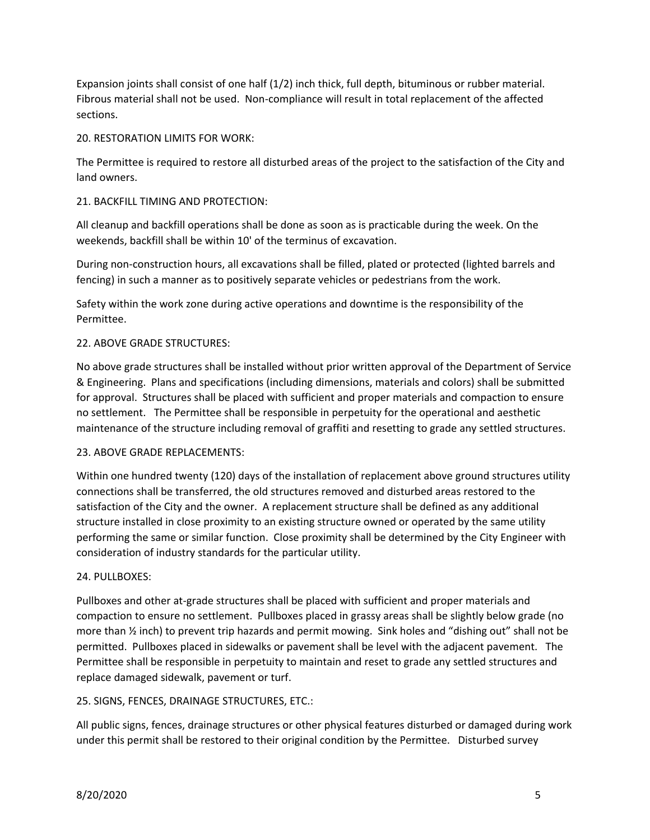Expansion joints shall consist of one half (1/2) inch thick, full depth, bituminous or rubber material. Fibrous material shall not be used. Non-compliance will result in total replacement of the affected sections.

### 20. RESTORATION LIMITS FOR WORK:

The Permittee is required to restore all disturbed areas of the project to the satisfaction of the City and land owners.

## 21. BACKFILL TIMING AND PROTECTION:

All cleanup and backfill operations shall be done as soon as is practicable during the week. On the weekends, backfill shall be within 10' of the terminus of excavation.

During non-construction hours, all excavations shall be filled, plated or protected (lighted barrels and fencing) in such a manner as to positively separate vehicles or pedestrians from the work.

Safety within the work zone during active operations and downtime is the responsibility of the Permittee.

## 22. ABOVE GRADE STRUCTURES:

No above grade structures shall be installed without prior written approval of the Department of Service & Engineering. Plans and specifications (including dimensions, materials and colors) shall be submitted for approval. Structures shall be placed with sufficient and proper materials and compaction to ensure no settlement. The Permittee shall be responsible in perpetuity for the operational and aesthetic maintenance of the structure including removal of graffiti and resetting to grade any settled structures.

### 23. ABOVE GRADE REPLACEMENTS:

Within one hundred twenty (120) days of the installation of replacement above ground structures utility connections shall be transferred, the old structures removed and disturbed areas restored to the satisfaction of the City and the owner. A replacement structure shall be defined as any additional structure installed in close proximity to an existing structure owned or operated by the same utility performing the same or similar function. Close proximity shall be determined by the City Engineer with consideration of industry standards for the particular utility.

### 24. PULLBOXES:

Pullboxes and other at-grade structures shall be placed with sufficient and proper materials and compaction to ensure no settlement. Pullboxes placed in grassy areas shall be slightly below grade (no more than ½ inch) to prevent trip hazards and permit mowing. Sink holes and "dishing out" shall not be permitted. Pullboxes placed in sidewalks or pavement shall be level with the adjacent pavement. The Permittee shall be responsible in perpetuity to maintain and reset to grade any settled structures and replace damaged sidewalk, pavement or turf.

### 25. SIGNS, FENCES, DRAINAGE STRUCTURES, ETC.:

All public signs, fences, drainage structures or other physical features disturbed or damaged during work under this permit shall be restored to their original condition by the Permittee. Disturbed survey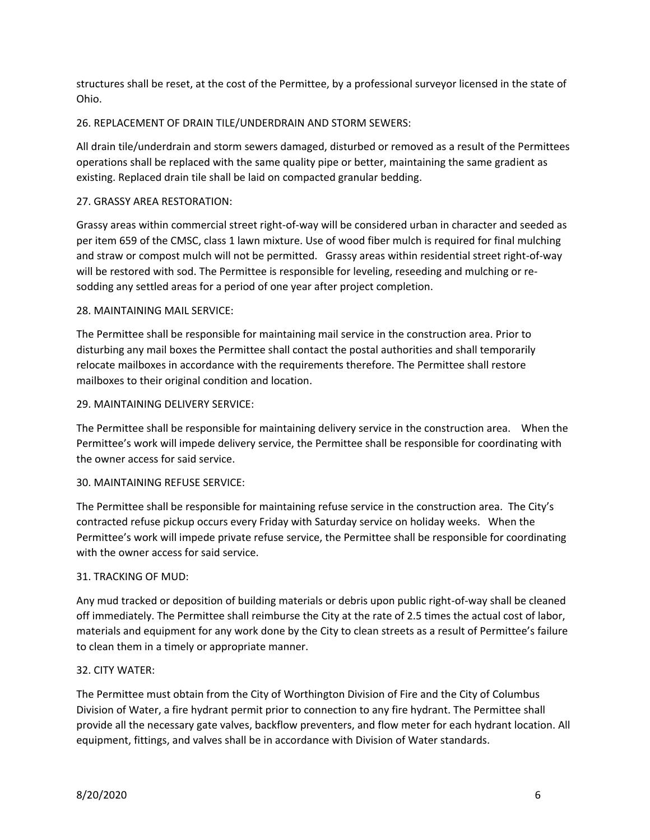structures shall be reset, at the cost of the Permittee, by a professional surveyor licensed in the state of Ohio.

## 26. REPLACEMENT OF DRAIN TILE/UNDERDRAIN AND STORM SEWERS:

All drain tile/underdrain and storm sewers damaged, disturbed or removed as a result of the Permittees operations shall be replaced with the same quality pipe or better, maintaining the same gradient as existing. Replaced drain tile shall be laid on compacted granular bedding.

## 27. GRASSY AREA RESTORATION:

Grassy areas within commercial street right-of-way will be considered urban in character and seeded as per item 659 of the CMSC, class 1 lawn mixture. Use of wood fiber mulch is required for final mulching and straw or compost mulch will not be permitted. Grassy areas within residential street right-of-way will be restored with sod. The Permittee is responsible for leveling, reseeding and mulching or resodding any settled areas for a period of one year after project completion.

## 28. MAINTAINING MAIL SERVICE:

The Permittee shall be responsible for maintaining mail service in the construction area. Prior to disturbing any mail boxes the Permittee shall contact the postal authorities and shall temporarily relocate mailboxes in accordance with the requirements therefore. The Permittee shall restore mailboxes to their original condition and location.

### 29. MAINTAINING DELIVERY SERVICE:

The Permittee shall be responsible for maintaining delivery service in the construction area. When the Permittee's work will impede delivery service, the Permittee shall be responsible for coordinating with the owner access for said service.

### 30. MAINTAINING REFUSE SERVICE:

The Permittee shall be responsible for maintaining refuse service in the construction area. The City's contracted refuse pickup occurs every Friday with Saturday service on holiday weeks. When the Permittee's work will impede private refuse service, the Permittee shall be responsible for coordinating with the owner access for said service.

### 31. TRACKING OF MUD:

Any mud tracked or deposition of building materials or debris upon public right-of-way shall be cleaned off immediately. The Permittee shall reimburse the City at the rate of 2.5 times the actual cost of labor, materials and equipment for any work done by the City to clean streets as a result of Permittee's failure to clean them in a timely or appropriate manner.

### 32. CITY WATER:

The Permittee must obtain from the City of Worthington Division of Fire and the City of Columbus Division of Water, a fire hydrant permit prior to connection to any fire hydrant. The Permittee shall provide all the necessary gate valves, backflow preventers, and flow meter for each hydrant location. All equipment, fittings, and valves shall be in accordance with Division of Water standards.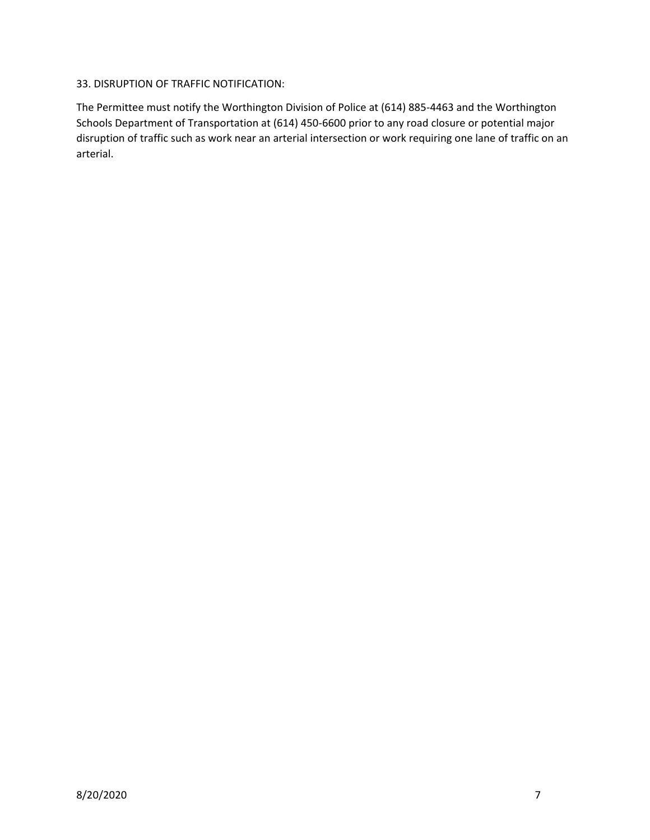## 33. DISRUPTION OF TRAFFIC NOTIFICATION:

The Permittee must notify the Worthington Division of Police at (614) 885-4463 and the Worthington Schools Department of Transportation at (614) 450-6600 prior to any road closure or potential major disruption of traffic such as work near an arterial intersection or work requiring one lane of traffic on an arterial.